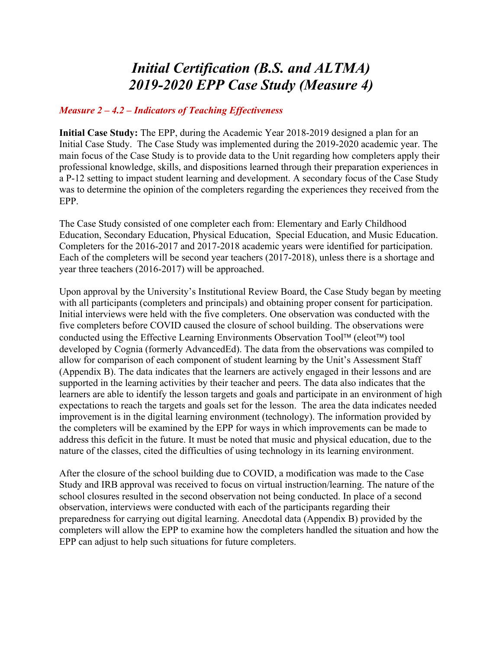## *Initial Certification (B.S. and ALTMA) 2019-2020 EPP Case Study (Measure 4)*

## *Measure 2 – 4.2 – Indicators of Teaching Effectiveness*

**Initial Case Study:** The EPP, during the Academic Year 2018-2019 designed a plan for an Initial Case Study. The Case Study was implemented during the 2019-2020 academic year. The main focus of the Case Study is to provide data to the Unit regarding how completers apply their professional knowledge, skills, and dispositions learned through their preparation experiences in a P-12 setting to impact student learning and development. A secondary focus of the Case Study was to determine the opinion of the completers regarding the experiences they received from the EPP.

The Case Study consisted of one completer each from: Elementary and Early Childhood Education, Secondary Education, Physical Education, Special Education, and Music Education. Completers for the 2016-2017 and 2017-2018 academic years were identified for participation. Each of the completers will be second year teachers (2017-2018), unless there is a shortage and year three teachers (2016-2017) will be approached.

Upon approval by the University's Institutional Review Board, the Case Study began by meeting with all participants (completers and principals) and obtaining proper consent for participation. Initial interviews were held with the five completers. One observation was conducted with the five completers before COVID caused the closure of school building. The observations were conducted using the Effective Learning Environments Observation Tool™ (eleot™) tool developed by Cognia (formerly AdvancedEd). The data from the observations was compiled to allow for comparison of each component of student learning by the Unit's Assessment Staff (Appendix B). The data indicates that the learners are actively engaged in their lessons and are supported in the learning activities by their teacher and peers. The data also indicates that the learners are able to identify the lesson targets and goals and participate in an environment of high expectations to reach the targets and goals set for the lesson. The area the data indicates needed improvement is in the digital learning environment (technology). The information provided by the completers will be examined by the EPP for ways in which improvements can be made to address this deficit in the future. It must be noted that music and physical education, due to the nature of the classes, cited the difficulties of using technology in its learning environment.

After the closure of the school building due to COVID, a modification was made to the Case Study and IRB approval was received to focus on virtual instruction/learning. The nature of the school closures resulted in the second observation not being conducted. In place of a second observation, interviews were conducted with each of the participants regarding their preparedness for carrying out digital learning. Anecdotal data (Appendix B) provided by the completers will allow the EPP to examine how the completers handled the situation and how the EPP can adjust to help such situations for future completers.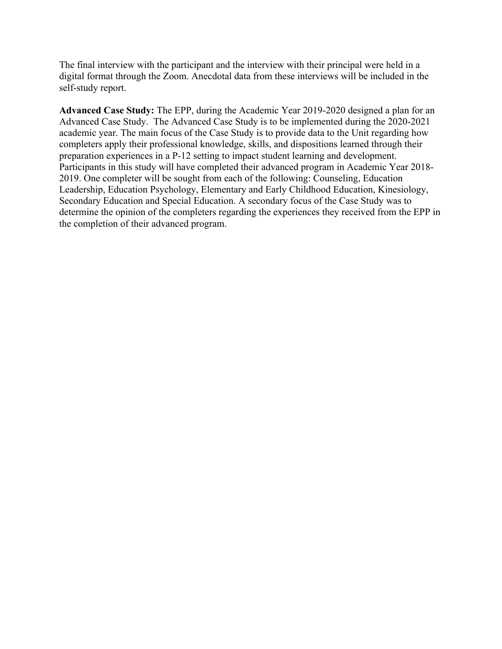The final interview with the participant and the interview with their principal were held in a digital format through the Zoom. Anecdotal data from these interviews will be included in the self-study report.

**Advanced Case Study:** The EPP, during the Academic Year 2019-2020 designed a plan for an Advanced Case Study. The Advanced Case Study is to be implemented during the 2020-2021 academic year. The main focus of the Case Study is to provide data to the Unit regarding how completers apply their professional knowledge, skills, and dispositions learned through their preparation experiences in a P-12 setting to impact student learning and development. Participants in this study will have completed their advanced program in Academic Year 2018- 2019. One completer will be sought from each of the following: Counseling, Education Leadership, Education Psychology, Elementary and Early Childhood Education, Kinesiology, Secondary Education and Special Education. A secondary focus of the Case Study was to determine the opinion of the completers regarding the experiences they received from the EPP in the completion of their advanced program.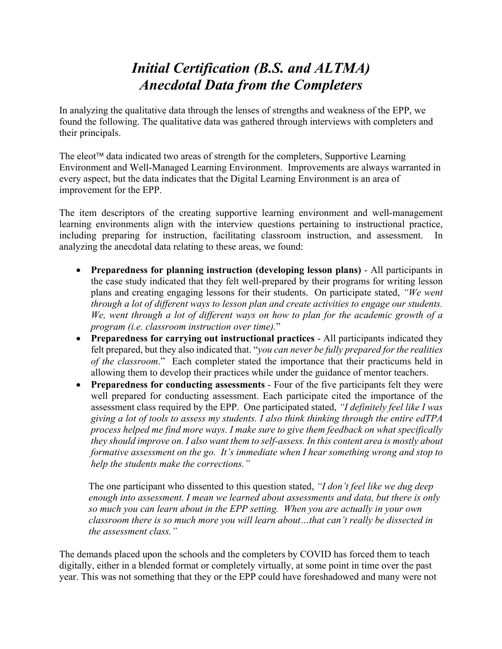## *Initial Certification (B.S. and ALTMA) Anecdotal Data from the Completers*

In analyzing the qualitative data through the lenses of strengths and weakness of the EPP, we found the following. The qualitative data was gathered through interviews with completers and their principals.

The eleot<sup> $\mathbb{M}$ </sup> data indicated two areas of strength for the completers, Supportive Learning Environment and Well-Managed Learning Environment. Improvements are always warranted in every aspect, but the data indicates that the Digital Learning Environment is an area of improvement for the EPP.

The item descriptors of the creating supportive learning environment and well-management learning environments align with the interview questions pertaining to instructional practice, including preparing for instruction, facilitating classroom instruction, and assessment. In analyzing the anecdotal data relating to these areas, we found:

- **Preparedness for planning instruction (developing lesson plans)** All participants in the case study indicated that they felt well-prepared by their programs for writing lesson plans and creating engaging lessons for their students. On participate stated, *"We went through a lot of different ways to lesson plan and create activities to engage our students. We, went through a lot of different ways on how to plan for the academic growth of a program (i.e. classroom instruction over time).*"
- **Preparedness for carrying out instructional practices** All participants indicated they felt prepared, but they also indicated that. "*you can never be fully prepared for the realities of the classroom*." Each completer stated the importance that their practicums held in allowing them to develop their practices while under the guidance of mentor teachers.
- **Preparedness for conducting assessments** Four of the five participants felt they were well prepared for conducting assessment. Each participate cited the importance of the assessment class required by the EPP. One participated stated, *"I definitely feel like I was giving a lot of tools to assess my students. I also think thinking through the entire edTPA process helped me find more ways. I make sure to give them feedback on what specifically they should improve on. I also want them to self-assess. In this content area is mostly about formative assessment on the go. It's immediate when I hear something wrong and stop to help the students make the corrections."*

The one participant who dissented to this question stated, *"I don't feel like we dug deep enough into assessment. I mean we learned about assessments and data, but there is only so much you can learn about in the EPP setting. When you are actually in your own classroom there is so much more you will learn about…that can't really be dissected in the assessment class."*

The demands placed upon the schools and the completers by COVID has forced them to teach digitally, either in a blended format or completely virtually, at some point in time over the past year. This was not something that they or the EPP could have foreshadowed and many were not